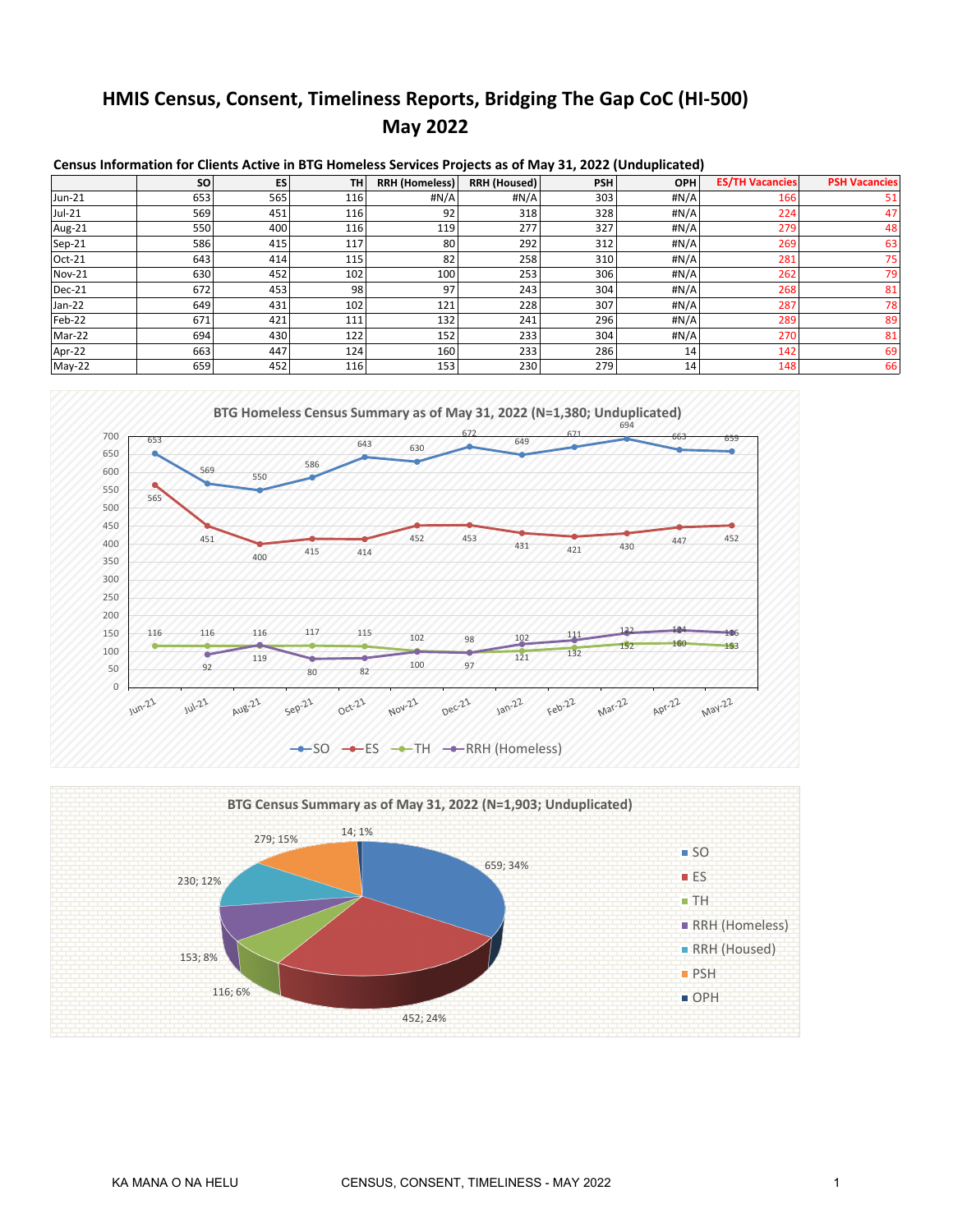# **HMIS Census, Consent, Timeliness Reports, Bridging The Gap CoC (HI-500) May 2022**

|               | <b>SO</b> | ES  | <b>TH</b> | <b>RRH (Homeless)</b> | RRH (Housed) | <b>PSH</b> | <b>OPH</b> | <b>ES/TH Vacancies</b> | <b>PSH Vacancies</b> |
|---------------|-----------|-----|-----------|-----------------------|--------------|------------|------------|------------------------|----------------------|
| Jun-21        | 653       | 565 | 116       | #N/A                  | #N/A         | 303        | #N/A       | 166                    | 51                   |
| Jul-21        | 569       | 451 | 116       | 92                    | 318          | 328        | #N/A       | 224                    | 47                   |
| Aug-21        | 550       | 400 | 116       | 119                   | 277          | 327        | #N/A       | 279                    | 48                   |
| Sep-21        | 586       | 415 | 117       | 80                    | 292          | 312        | #N/A       | 269                    | 63                   |
| Oct-21        | 643       | 414 | 115       | 82                    | 258          | 310        | #N/A       | 281                    | 75                   |
| <b>Nov-21</b> | 630       | 452 | 102       | 100                   | 253          | 306        | #N/A       | 262                    | 79                   |
| Dec-21        | 672       | 453 | 98        | 97                    | 243          | 304        | #N/A       | 268                    | 81                   |
| Jan-22        | 649       | 431 | 102       | 121                   | 228          | 307        | #N/A       | 287                    | 781                  |
| Feb-22        | 671       | 421 | 111       | 132                   | 241          | 296        | #N/A       | 289                    | 89                   |
| Mar-22        | 694       | 430 | 122       | 152                   | 233          | 304        | #N/A       | 270                    | 81                   |
| Apr-22        | 663       | 447 | 124       | 160                   | 233          | 286        | 14         | 142                    | 69                   |
| May-22        | 659       | 452 | 116       | 153                   | 230          | 279        | 14         | 148                    | 66                   |

**Census Information for Clients Active in BTG Homeless Services Projects as of May 31, 2022 (Unduplicated)**



 $-SO \rightarrow ES \rightarrow TH \rightarrow RRH$  (Homeless)

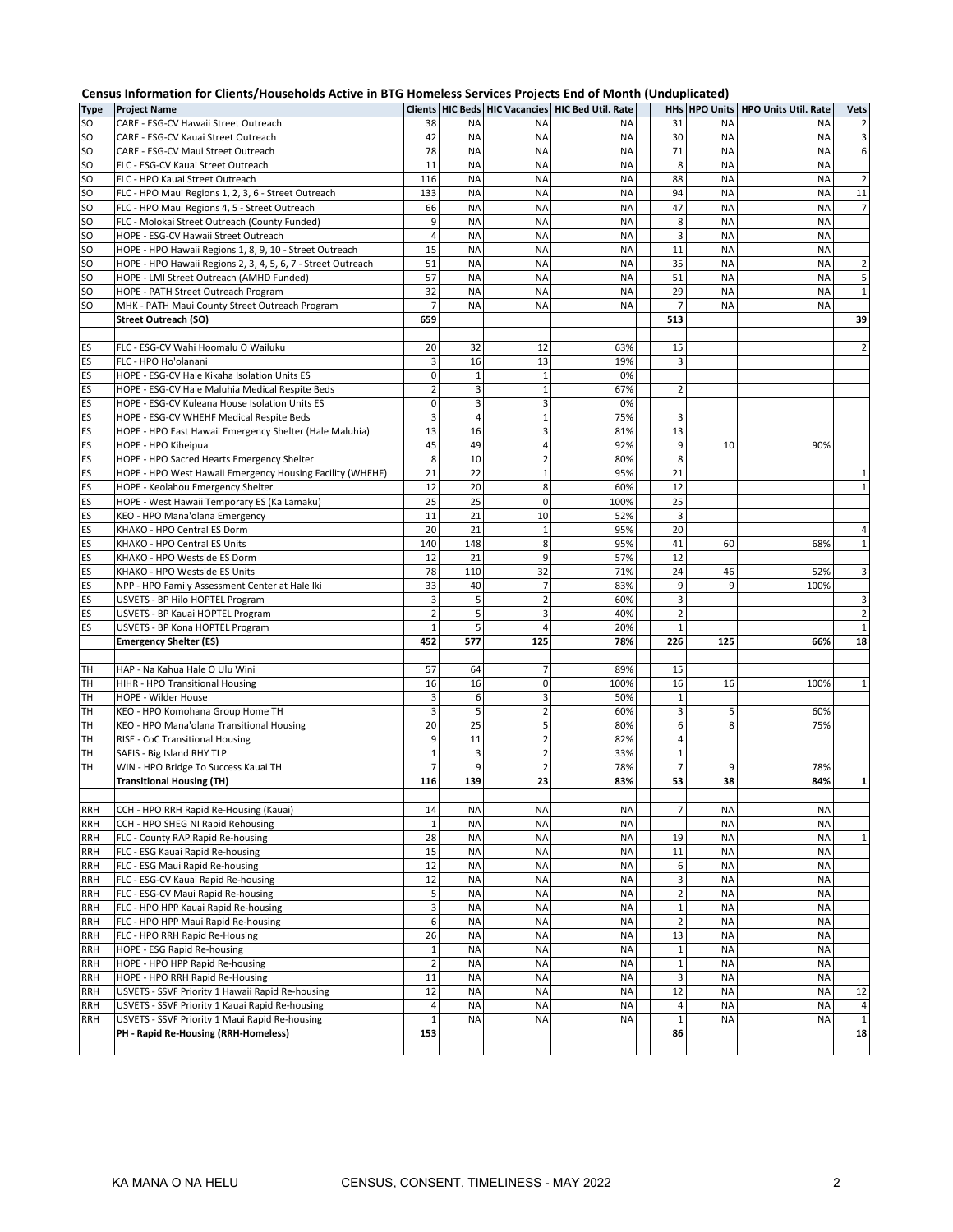|             | Census Information for Clients/Households Active in BTG Homeless Services Projects End of Month (Unduplicated) |                |                |                     |                                                         |                         |               |                             |                            |
|-------------|----------------------------------------------------------------------------------------------------------------|----------------|----------------|---------------------|---------------------------------------------------------|-------------------------|---------------|-----------------------------|----------------------------|
| <b>Type</b> | <b>Project Name</b>                                                                                            |                |                |                     | Clients   HIC Beds   HIC Vacancies   HIC Bed Util. Rate |                         | HHs HPO Units | <b>HPO Units Util. Rate</b> | <b>Vets</b>                |
| SO          | CARE - ESG-CV Hawaii Street Outreach                                                                           | 38             | <b>NA</b>      | <b>NA</b>           | <b>NA</b>                                               | 31                      | <b>NA</b>     | <b>NA</b>                   | $\overline{2}$             |
| SO          | CARE - ESG-CV Kauai Street Outreach                                                                            | 42             | <b>NA</b>      | <b>NA</b>           | <b>NA</b>                                               | 30                      | <b>NA</b>     | <b>NA</b>                   | 3                          |
| SO          | CARE - ESG-CV Maui Street Outreach                                                                             | 78             | <b>NA</b>      | <b>NA</b>           | <b>NA</b>                                               | 71                      | <b>NA</b>     | <b>NA</b>                   | 6                          |
| SO          | FLC - ESG-CV Kauai Street Outreach                                                                             | 11             | <b>NA</b>      | <b>NA</b>           | <b>NA</b>                                               | 8                       | <b>NA</b>     | <b>NA</b>                   |                            |
| SO          | FLC - HPO Kauai Street Outreach                                                                                | 116            | <b>NA</b>      | <b>NA</b>           | <b>NA</b>                                               | 88                      | <b>NA</b>     | <b>NA</b>                   | $\overline{2}$             |
| SO          | FLC - HPO Maui Regions 1, 2, 3, 6 - Street Outreach                                                            | 133            | <b>NA</b>      | <b>NA</b>           | <b>NA</b>                                               | 94                      | <b>NA</b>     | <b>NA</b>                   | 11                         |
| SO          | FLC - HPO Maui Regions 4, 5 - Street Outreach                                                                  | 66             | <b>NA</b>      | <b>NA</b>           | <b>NA</b>                                               | 47                      | <b>NA</b>     | <b>NA</b>                   | $\overline{7}$             |
| SO          | FLC - Molokai Street Outreach (County Funded)                                                                  | 9              | <b>NA</b>      | <b>NA</b>           | <b>NA</b>                                               | 8                       | <b>NA</b>     | <b>NA</b>                   |                            |
| SO          | HOPE - ESG-CV Hawaii Street Outreach                                                                           | $\overline{4}$ | <b>NA</b>      | <b>NA</b>           | <b>NA</b>                                               | 3                       | <b>NA</b>     | <b>NA</b>                   |                            |
| SO          | HOPE - HPO Hawaii Regions 1, 8, 9, 10 - Street Outreach                                                        | 15             | <b>NA</b>      | <b>NA</b>           | <b>NA</b>                                               | 11                      | <b>NA</b>     | <b>NA</b>                   |                            |
| SO          | HOPE - HPO Hawaii Regions 2, 3, 4, 5, 6, 7 - Street Outreach                                                   | 51             | <b>NA</b>      | <b>NA</b>           | <b>NA</b>                                               | 35                      | <b>NA</b>     | <b>NA</b>                   | $\mathbf 2$                |
| SO          | HOPE - LMI Street Outreach (AMHD Funded)                                                                       | 57             | <b>NA</b>      | <b>NA</b>           | <b>NA</b>                                               | 51                      | <b>NA</b>     | <b>NA</b>                   | 5                          |
| SO          | HOPE - PATH Street Outreach Program                                                                            | 32             | <b>NA</b>      | <b>NA</b>           | <b>NA</b>                                               | 29                      | <b>NA</b>     | <b>NA</b>                   | $\mathbf 1$                |
| SO          | MHK - PATH Maui County Street Outreach Program                                                                 | $\overline{7}$ | <b>NA</b>      | <b>NA</b>           | <b>NA</b>                                               | $\overline{7}$          | <b>NA</b>     | <b>NA</b>                   |                            |
|             | <b>Street Outreach (SO)</b>                                                                                    | 659            |                |                     |                                                         | 513                     |               |                             | 39                         |
|             |                                                                                                                |                |                |                     |                                                         |                         |               |                             |                            |
| ES          | FLC - ESG-CV Wahi Hoomalu O Wailuku                                                                            | 20             | 32             | 12                  | 63%                                                     | 15                      |               |                             | $\overline{2}$             |
| ES          | FLC - HPO Ho'olanani                                                                                           | 3              | 16             | 13                  | 19%                                                     | 3                       |               |                             |                            |
| ES          | HOPE - ESG-CV Hale Kikaha Isolation Units ES                                                                   | 0              | $\mathbf 1$    | $\mathbf 1$         | 0%                                                      |                         |               |                             |                            |
| ES          | HOPE - ESG-CV Hale Maluhia Medical Respite Beds                                                                | $\overline{2}$ | 3              | $\mathbf 1$         | 67%                                                     | $\overline{2}$          |               |                             |                            |
| ES          | HOPE - ESG-CV Kuleana House Isolation Units ES                                                                 | $\mathbf 0$    | 3              | 3                   | 0%                                                      |                         |               |                             |                            |
| ES          | HOPE - ESG-CV WHEHF Medical Respite Beds                                                                       | 3              | $\overline{4}$ | $\mathbf 1$         | 75%                                                     | 3                       |               |                             |                            |
| ES          | HOPE - HPO East Hawaii Emergency Shelter (Hale Maluhia)                                                        | 13             | 16             | 3                   | 81%                                                     | 13                      |               |                             |                            |
| ES          | HOPE - HPO Kiheipua                                                                                            | 45<br>8        | 49<br>10       | 4<br>$\overline{2}$ | 92%<br>80%                                              | 9                       | 10            | 90%                         |                            |
| ES<br>ES    | HOPE - HPO Sacred Hearts Emergency Shelter                                                                     | 21             |                | $\mathbf 1$         | 95%                                                     | 8<br>21                 |               |                             |                            |
|             | HOPE - HPO West Hawaii Emergency Housing Facility (WHEHF)                                                      | 12             | 22<br>20       | 8                   |                                                         | 12                      |               |                             | $\mathbf 1$<br>$\mathbf 1$ |
| ES<br>ES    | HOPE - Keolahou Emergency Shelter                                                                              | 25             | 25             | $\mathbf 0$         | 60%                                                     | 25                      |               |                             |                            |
| ES          | HOPE - West Hawaii Temporary ES (Ka Lamaku)                                                                    | 11             | 21             | 10                  | 100%<br>52%                                             | 3                       |               |                             |                            |
| ES          | KEO - HPO Mana'olana Emergency<br>KHAKO - HPO Central ES Dorm                                                  | 20             | 21             | $\mathbf 1$         | 95%                                                     | 20                      |               |                             | $\sqrt{4}$                 |
| ES          | KHAKO - HPO Central ES Units                                                                                   | 140            | 148            | 8                   | 95%                                                     | 41                      | 60            | 68%                         | $\mathbf 1$                |
| ES          | KHAKO - HPO Westside ES Dorm                                                                                   | 12             | 21             | 9                   | 57%                                                     | 12                      |               |                             |                            |
| ES          | KHAKO - HPO Westside ES Units                                                                                  | 78             | 110            | 32                  | 71%                                                     | 24                      | 46            | 52%                         | 3                          |
| ES          | NPP - HPO Family Assessment Center at Hale Iki                                                                 | 33             | 40             | $\overline{7}$      | 83%                                                     | 9                       | 9             | 100%                        |                            |
| ES          | USVETS - BP Hilo HOPTEL Program                                                                                | 3              | 5              | $\overline{2}$      | 60%                                                     | 3                       |               |                             | 3                          |
| ES          | USVETS - BP Kauai HOPTEL Program                                                                               | $\overline{2}$ | 5              | 3                   | 40%                                                     | $\mathbf 2$             |               |                             | $\overline{2}$             |
| ES          | USVETS - BP Kona HOPTEL Program                                                                                | $\mathbf{1}$   | 5              | $\overline{4}$      | 20%                                                     | $\mathbf 1$             |               |                             | $\mathbf 1$                |
|             | <b>Emergency Shelter (ES)</b>                                                                                  | 452            | 577            | 125                 | 78%                                                     | 226                     | 125           | 66%                         | 18                         |
|             |                                                                                                                |                |                |                     |                                                         |                         |               |                             |                            |
| TH          | HAP - Na Kahua Hale O Ulu Wini                                                                                 | 57             | 64             | $\overline{7}$      | 89%                                                     | 15                      |               |                             |                            |
| TH          | HIHR - HPO Transitional Housing                                                                                | 16             | 16             | 0                   | 100%                                                    | 16                      | 16            | 100%                        | $\,1\,$                    |
| TН          | HOPE - Wilder House                                                                                            | 3              | 6              | 3                   | 50%                                                     | $\mathbf 1$             |               |                             |                            |
| TН          | KEO - HPO Komohana Group Home TH                                                                               | 3              | 5              | $\overline{2}$      | 60%                                                     | 3                       | 5             | 60%                         |                            |
| TН          | KEO - HPO Mana'olana Transitional Housing                                                                      | 20             | 25             | 5                   | 80%                                                     | 6                       | 8             | 75%                         |                            |
| TН          | RISE - CoC Transitional Housing                                                                                | 9              | 11             | $\overline{2}$      | 82%                                                     | 4                       |               |                             |                            |
| TН          | SAFIS - Big Island RHY TLP                                                                                     | $\mathbf 1$    | 3              | $\overline{2}$      | 33%                                                     | $1\,$                   |               |                             |                            |
| <b>TH</b>   | WIN - HPO Bridge To Success Kauai TH                                                                           | $\overline{7}$ | 9              | $\overline{2}$      | 78%                                                     | $\overline{7}$          | 9             | 78%                         |                            |
|             | <b>Transitional Housing (TH)</b>                                                                               | 116            | 139            | 23                  | 83%                                                     | 53                      | 38            | 84%                         | $\mathbf 1$                |
|             |                                                                                                                |                |                |                     |                                                         |                         |               |                             |                            |
| RRH         | CCH - HPO RRH Rapid Re-Housing (Kauai)                                                                         | 14             | <b>NA</b>      | <b>NA</b>           | <b>NA</b>                                               | 7                       | NA            | <b>NA</b>                   |                            |
| RRH         | CCH - HPO SHEG NI Rapid Rehousing                                                                              | $\mathbf 1$    | <b>NA</b>      | <b>NA</b>           | <b>NA</b>                                               |                         | <b>NA</b>     | <b>NA</b>                   |                            |
| RRH         | FLC - County RAP Rapid Re-housing                                                                              | 28             | <b>NA</b>      | <b>NA</b>           | <b>NA</b>                                               | 19                      | <b>NA</b>     | <b>NA</b>                   | $\mathbf 1$                |
| RRH         | FLC - ESG Kauai Rapid Re-housing                                                                               | 15             | <b>NA</b>      | <b>NA</b>           | <b>NA</b>                                               | $11\,$                  | <b>NA</b>     | <b>NA</b>                   |                            |
| RRH         | FLC - ESG Maui Rapid Re-housing                                                                                | 12             | <b>NA</b>      | <b>NA</b>           | <b>NA</b>                                               | 6                       | <b>NA</b>     | <b>NA</b>                   |                            |
| RRH         | FLC - ESG-CV Kauai Rapid Re-housing                                                                            | 12             | <b>NA</b>      | <b>NA</b>           | <b>NA</b>                                               | 3                       | <b>NA</b>     | <b>NA</b>                   |                            |
| RRH         | FLC - ESG-CV Maui Rapid Re-housing                                                                             | 5              | <b>NA</b>      | <b>NA</b>           | <b>NA</b>                                               | $\overline{\mathbf{c}}$ | <b>NA</b>     | <b>NA</b>                   |                            |
| RRH         | FLC - HPO HPP Kauai Rapid Re-housing                                                                           | 3              | <b>NA</b>      | <b>NA</b>           | <b>NA</b>                                               | $\mathbf 1$             | <b>NA</b>     | <b>NA</b>                   |                            |
| RRH         | FLC - HPO HPP Maui Rapid Re-housing                                                                            | 6              | <b>NA</b>      | <b>NA</b>           | <b>NA</b>                                               | $\overline{2}$          | <b>NA</b>     | <b>NA</b>                   |                            |
| RRH         | FLC - HPO RRH Rapid Re-Housing                                                                                 | 26             | <b>NA</b>      | <b>NA</b>           | <b>NA</b>                                               | 13                      | <b>NA</b>     | <b>NA</b>                   |                            |
| RRH         | HOPE - ESG Rapid Re-housing                                                                                    | $\mathbf 1$    | <b>NA</b>      | <b>NA</b>           | <b>NA</b>                                               | $\mathbf 1$             | <b>NA</b>     | <b>NA</b>                   |                            |
| RRH         | HOPE - HPO HPP Rapid Re-housing                                                                                | $\mathbf 2$    | <b>NA</b>      | <b>NA</b>           | <b>NA</b>                                               | $\mathbf 1$             | <b>NA</b>     | <b>NA</b>                   |                            |
| RRH         | HOPE - HPO RRH Rapid Re-Housing                                                                                | 11             | <b>NA</b>      | <b>NA</b>           | <b>NA</b>                                               | 3                       | <b>NA</b>     | <b>NA</b>                   |                            |
| <b>RRH</b>  | USVETS - SSVF Priority 1 Hawaii Rapid Re-housing                                                               | 12             | <b>NA</b>      | <b>NA</b>           | <b>NA</b>                                               | 12                      | <b>NA</b>     | <b>NA</b>                   | 12                         |
| RRH         | USVETS - SSVF Priority 1 Kauai Rapid Re-housing                                                                | $\sqrt{4}$     | <b>NA</b>      | <b>NA</b>           | <b>NA</b>                                               | 4                       | <b>NA</b>     | <b>NA</b>                   | 4                          |
| RRH         | USVETS - SSVF Priority 1 Maui Rapid Re-housing                                                                 | $\mathbf 1$    | <b>NA</b>      | <b>NA</b>           | <b>NA</b>                                               | $\mathbf 1$             | <b>NA</b>     | <b>NA</b>                   | $\mathbf 1$                |
|             | PH - Rapid Re-Housing (RRH-Homeless)                                                                           | 153            |                |                     |                                                         | 86                      |               |                             | 18                         |
|             |                                                                                                                |                |                |                     |                                                         |                         |               |                             |                            |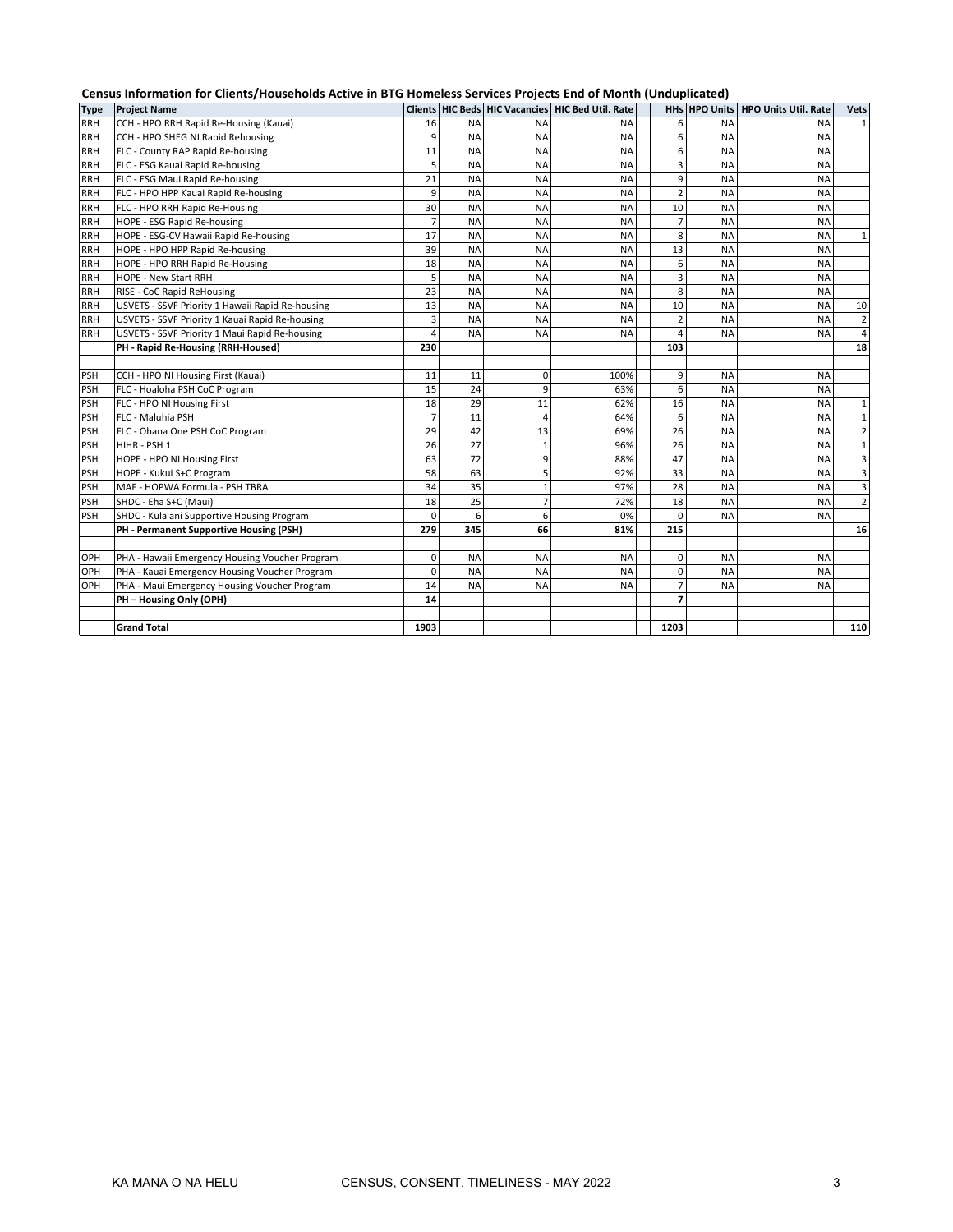|             | Census Information for Clients/Households Active in BTG Homeless Services Projects End of Month (Unduplicated) |                |           |                |                                                   |                |               |                             |                         |  |  |
|-------------|----------------------------------------------------------------------------------------------------------------|----------------|-----------|----------------|---------------------------------------------------|----------------|---------------|-----------------------------|-------------------------|--|--|
| <b>Type</b> | <b>Project Name</b>                                                                                            |                |           |                | Clients HIC Beds HIC Vacancies HIC Bed Util. Rate |                | HHs HPO Units | <b>HPO Units Util. Rate</b> | <b>Vets</b>             |  |  |
| <b>RRH</b>  | CCH - HPO RRH Rapid Re-Housing (Kauai)                                                                         | 16             | <b>NA</b> | <b>NA</b>      | <b>NA</b>                                         | 6              | <b>NA</b>     | <b>NA</b>                   | $\mathbf 1$             |  |  |
| <b>RRH</b>  | CCH - HPO SHEG NI Rapid Rehousing                                                                              | 9              | <b>NA</b> | <b>NA</b>      | <b>NA</b>                                         | 6              | <b>NA</b>     | <b>NA</b>                   |                         |  |  |
| <b>RRH</b>  | FLC - County RAP Rapid Re-housing                                                                              | 11             | <b>NA</b> | <b>NA</b>      | <b>NA</b>                                         | 6              | <b>NA</b>     | ΝA                          |                         |  |  |
| <b>RRH</b>  | FLC - ESG Kauai Rapid Re-housing                                                                               | 5              | <b>NA</b> | <b>NA</b>      | <b>NA</b>                                         | 3              | <b>NA</b>     | <b>NA</b>                   |                         |  |  |
| <b>RRH</b>  | FLC - ESG Maui Rapid Re-housing                                                                                | 21             | <b>NA</b> | <b>NA</b>      | <b>NA</b>                                         | 9              | <b>NA</b>     | ΝA                          |                         |  |  |
| <b>RRH</b>  | FLC - HPO HPP Kauai Rapid Re-housing                                                                           | 9              | <b>NA</b> | <b>NA</b>      | <b>NA</b>                                         | $\overline{2}$ | <b>NA</b>     | <b>NA</b>                   |                         |  |  |
| <b>RRH</b>  | FLC - HPO RRH Rapid Re-Housing                                                                                 | 30             | <b>NA</b> | <b>NA</b>      | <b>NA</b>                                         | 10             | <b>NA</b>     | <b>NA</b>                   |                         |  |  |
| <b>RRH</b>  | HOPE - ESG Rapid Re-housing                                                                                    | $\overline{7}$ | <b>NA</b> | <b>NA</b>      | <b>NA</b>                                         | $\overline{7}$ | <b>NA</b>     | <b>NA</b>                   |                         |  |  |
| <b>RRH</b>  | HOPE - ESG-CV Hawaii Rapid Re-housing                                                                          | 17             | <b>NA</b> | <b>NA</b>      | <b>NA</b>                                         | 8              | <b>NA</b>     | ΝA                          | $\mathbf{1}$            |  |  |
| <b>RRH</b>  | HOPE - HPO HPP Rapid Re-housing                                                                                | 39             | <b>NA</b> | <b>NA</b>      | <b>NA</b>                                         | 13             | <b>NA</b>     | ΝA                          |                         |  |  |
| <b>RRH</b>  | HOPE - HPO RRH Rapid Re-Housing                                                                                | 18             | <b>NA</b> | <b>NA</b>      | <b>NA</b>                                         | 6              | <b>NA</b>     | <b>NA</b>                   |                         |  |  |
| <b>RRH</b>  | HOPE - New Start RRH                                                                                           | 5              | <b>NA</b> | <b>NA</b>      | <b>NA</b>                                         | 3              | <b>NA</b>     | <b>NA</b>                   |                         |  |  |
| <b>RRH</b>  | RISE - CoC Rapid ReHousing                                                                                     | 23             | <b>NA</b> | <b>NA</b>      | <b>NA</b>                                         | 8              | <b>NA</b>     | <b>NA</b>                   |                         |  |  |
| <b>RRH</b>  | USVETS - SSVF Priority 1 Hawaii Rapid Re-housing                                                               | 13             | <b>NA</b> | <b>NA</b>      | <b>NA</b>                                         | 10             | <b>NA</b>     | <b>NA</b>                   | 10                      |  |  |
| <b>RRH</b>  | USVETS - SSVF Priority 1 Kauai Rapid Re-housing                                                                | 3              | <b>NA</b> | <b>NA</b>      | <b>NA</b>                                         | 2              | <b>NA</b>     | <b>NA</b>                   | $\overline{2}$          |  |  |
| <b>RRH</b>  | USVETS - SSVF Priority 1 Maui Rapid Re-housing                                                                 | 4              | <b>NA</b> | <b>NA</b>      | <b>NA</b>                                         | $\overline{4}$ | <b>NA</b>     | <b>NA</b>                   | $\overline{\mathbf{4}}$ |  |  |
|             | PH - Rapid Re-Housing (RRH-Housed)                                                                             | 230            |           |                |                                                   | 103            |               |                             | 18                      |  |  |
|             |                                                                                                                |                |           |                |                                                   |                |               |                             |                         |  |  |
| PSH         | CCH - HPO NI Housing First (Kauai)                                                                             | 11             | 11        | 0              | 100%                                              | 9              | <b>NA</b>     | <b>NA</b>                   |                         |  |  |
| <b>PSH</b>  | FLC - Hoaloha PSH CoC Program                                                                                  | 15             | 24        | 9              | 63%                                               | 6              | <b>NA</b>     | <b>NA</b>                   |                         |  |  |
| <b>PSH</b>  | FLC - HPO NI Housing First                                                                                     | 18             | 29        | 11             | 62%                                               | 16             | <b>NA</b>     | <b>NA</b>                   | $\mathbf{1}$            |  |  |
| PSH         | FLC - Maluhia PSH                                                                                              | $\overline{7}$ | 11        | 4              | 64%                                               | 6              | <b>NA</b>     | <b>NA</b>                   | $\mathbf 1$             |  |  |
| <b>PSH</b>  | FLC - Ohana One PSH CoC Program                                                                                | 29             | 42        | 13             | 69%                                               | 26             | <b>NA</b>     | <b>NA</b>                   | $\mathbf 2$             |  |  |
| PSH         | HIHR - PSH 1                                                                                                   | 26             | 27        | $\mathbf{1}$   | 96%                                               | 26             | <b>NA</b>     | <b>NA</b>                   | $\mathbf 1$             |  |  |
| PSH         | HOPE - HPO NI Housing First                                                                                    | 63             | 72        | 9              | 88%                                               | 47             | <b>NA</b>     | <b>NA</b>                   | 3                       |  |  |
| PSH         | HOPE - Kukui S+C Program                                                                                       | 58             | 63        | 5              | 92%                                               | 33             | <b>NA</b>     | <b>NA</b>                   | 3                       |  |  |
| PSH         | MAF - HOPWA Formula - PSH TBRA                                                                                 | 34             | 35        | $\mathbf 1$    | 97%                                               | 28             | <b>NA</b>     | <b>NA</b>                   | 3                       |  |  |
| PSH         | SHDC - Eha S+C (Maui)                                                                                          | 18             | 25        | $\overline{7}$ | 72%                                               | 18             | <b>NA</b>     | <b>NA</b>                   | $\overline{2}$          |  |  |
| <b>PSH</b>  | SHDC - Kulalani Supportive Housing Program                                                                     | $\Omega$       | 6         | 6              | 0%                                                | $\Omega$       | <b>NA</b>     | <b>NA</b>                   |                         |  |  |
|             | PH - Permanent Supportive Housing (PSH)                                                                        | 279            | 345       | 66             | 81%                                               | 215            |               |                             | 16                      |  |  |
|             |                                                                                                                |                |           |                |                                                   |                |               |                             |                         |  |  |
| OPH         | PHA - Hawaii Emergency Housing Voucher Program                                                                 | 0              | <b>NA</b> | <b>NA</b>      | <b>NA</b>                                         | 0              | <b>NA</b>     | <b>NA</b>                   |                         |  |  |
| OPH         | PHA - Kauai Emergency Housing Voucher Program                                                                  | $\mathbf 0$    | <b>NA</b> | <b>NA</b>      | <b>NA</b>                                         | 0              | <b>NA</b>     | <b>NA</b>                   |                         |  |  |
| OPH         | PHA - Maui Emergency Housing Voucher Program                                                                   | 14             | <b>NA</b> | <b>NA</b>      | <b>NA</b>                                         | $\overline{7}$ | <b>NA</b>     | <b>NA</b>                   |                         |  |  |
|             | PH - Housing Only (OPH)                                                                                        | 14             |           |                |                                                   | 7              |               |                             |                         |  |  |
|             |                                                                                                                |                |           |                |                                                   |                |               |                             |                         |  |  |
|             | <b>Grand Total</b>                                                                                             | 1903           |           |                |                                                   | 1203           |               |                             | 110                     |  |  |

## **Census Information for Clients/Households Active in BTG Homeless Services Projects End of Month (Unduplicated)**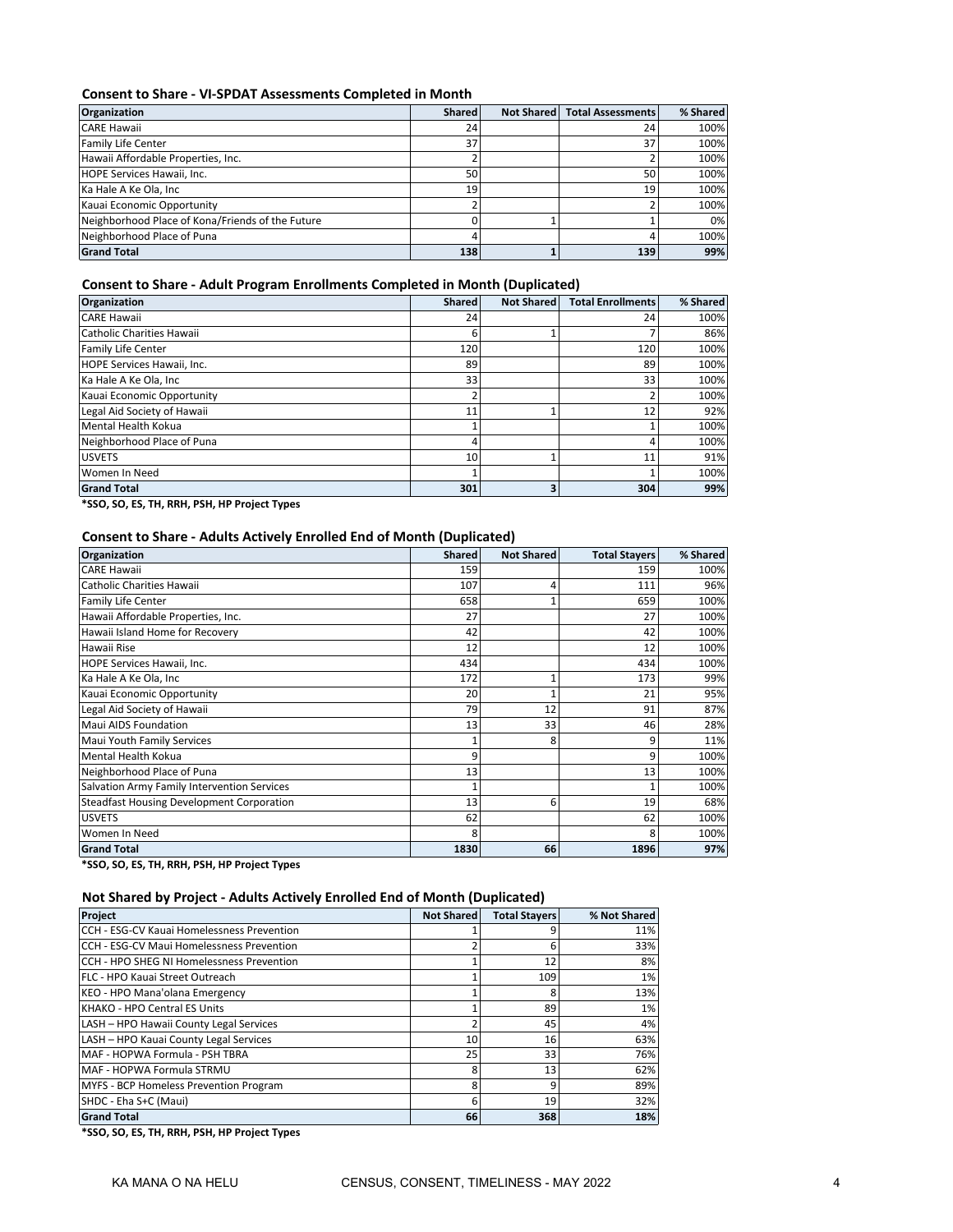#### **Consent to Share - VI-SPDAT Assessments Completed in Month**

| <b>Organization</b>                              | <b>Shared</b> | <b>Not Shared</b> | <b>Total Assessments</b> | % Shared |
|--------------------------------------------------|---------------|-------------------|--------------------------|----------|
| <b>CARE Hawaii</b>                               | 24            |                   | 24                       | 100%     |
| <b>Family Life Center</b>                        | 37            |                   | 37                       | 100%     |
| Hawaii Affordable Properties, Inc.               |               |                   |                          | 100%     |
| HOPE Services Hawaii, Inc.                       | 50            |                   | 50                       | 100%     |
| Ka Hale A Ke Ola, Inc.                           | 19            |                   | 19                       | 100%     |
| Kauai Economic Opportunity                       |               |                   |                          | 100%     |
| Neighborhood Place of Kona/Friends of the Future |               |                   |                          | 0%       |
| Neighborhood Place of Puna                       |               |                   | 4                        | 100%     |
| <b>Grand Total</b>                               | 138           |                   | 139                      | 99%      |

#### **Consent to Share - Adult Program Enrollments Completed in Month (Duplicated)**

| <b>Organization</b>         | <b>Shared</b> | <b>Not Shared</b> | <b>Total Enrollments</b> | % Shared |
|-----------------------------|---------------|-------------------|--------------------------|----------|
| <b>CARE Hawaii</b>          | 24            |                   | 24                       | 100%     |
| Catholic Charities Hawaii   | 6             |                   |                          | 86%      |
| <b>Family Life Center</b>   | 120           |                   | 120                      | 100%     |
| HOPE Services Hawaii, Inc.  | 89            |                   | 89                       | 100%     |
| Ka Hale A Ke Ola, Inc       | 33            |                   | 33                       | 100%     |
| Kauai Economic Opportunity  |               |                   |                          | 100%     |
| Legal Aid Society of Hawaii | 11            |                   | 12                       | 92%      |
| Mental Health Kokua         |               |                   |                          | 100%     |
| Neighborhood Place of Puna  | 4             |                   | 4                        | 100%     |
| <b>USVETS</b>               | 10            |                   | 11                       | 91%      |
| Women In Need               |               |                   |                          | 100%     |
| <b>Grand Total</b>          | 301           | з                 | 304                      | 99%      |

**\*SSO, SO, ES, TH, RRH, PSH, HP Project Types**

#### **Consent to Share - Adults Actively Enrolled End of Month (Duplicated)**

| Organization                                     | <b>Shared</b> | <b>Not Shared</b> | <b>Total Stayers</b> | % Shared |
|--------------------------------------------------|---------------|-------------------|----------------------|----------|
| <b>CARE Hawaii</b>                               | 159           |                   | 159                  | 100%     |
| Catholic Charities Hawaii                        | 107           | 4                 | 111                  | 96%      |
| Family Life Center                               | 658           |                   | 659                  | 100%     |
| Hawaii Affordable Properties, Inc.               | 27            |                   | 27                   | 100%     |
| Hawaii Island Home for Recovery                  | 42            |                   | 42                   | 100%     |
| Hawaii Rise                                      | 12            |                   | 12                   | 100%     |
| HOPE Services Hawaii, Inc.                       | 434           |                   | 434                  | 100%     |
| Ka Hale A Ke Ola, Inc                            | 172           |                   | 173                  | 99%      |
| Kauai Economic Opportunity                       | 20            |                   | 21                   | 95%      |
| Legal Aid Society of Hawaii                      | 79            | 12                | 91                   | 87%      |
| <b>Maui AIDS Foundation</b>                      | 13            | 33                | 46                   | 28%      |
| Maui Youth Family Services                       |               | 8                 | 9                    | 11%      |
| Mental Health Kokua                              | 9             |                   | q                    | 100%     |
| Neighborhood Place of Puna                       | 13            |                   | 13                   | 100%     |
| Salvation Army Family Intervention Services      |               |                   |                      | 100%     |
| <b>Steadfast Housing Development Corporation</b> | 13            | 6                 | 19                   | 68%      |
| <b>USVETS</b>                                    | 62            |                   | 62                   | 100%     |
| Women In Need                                    | 8             |                   |                      | 100%     |
| <b>Grand Total</b>                               | 1830          | 66                | 1896                 | 97%      |

**\*SSO, SO, ES, TH, RRH, PSH, HP Project Types**

#### **Not Shared by Project - Adults Actively Enrolled End of Month (Duplicated)**

| Project                                    | <b>Not Shared</b> | <b>Total Stayers</b> | % Not Shared |
|--------------------------------------------|-------------------|----------------------|--------------|
| CCH - ESG-CV Kauai Homelessness Prevention |                   |                      | 11%          |
| CCH - ESG-CV Maui Homelessness Prevention  |                   | 6                    | 33%          |
| CCH - HPO SHEG NI Homelessness Prevention  |                   | 12                   | 8%           |
| FLC - HPO Kauai Street Outreach            |                   | 109                  | 1%           |
| KEO - HPO Mana'olana Emergency             |                   |                      | 13%          |
| <b>KHAKO - HPO Central ES Units</b>        |                   | 89                   | 1%           |
| LASH - HPO Hawaii County Legal Services    |                   | 45                   | 4%           |
| LASH - HPO Kauai County Legal Services     | 10                | 16                   | 63%          |
| MAF - HOPWA Formula - PSH TBRA             | 25                | 33                   | 76%          |
| MAF - HOPWA Formula STRMU                  | ጸ                 | 13                   | 62%          |
| MYFS - BCP Homeless Prevention Program     | 8                 | 9                    | 89%          |
| SHDC - Eha S+C (Maui)                      | հ                 | 19                   | 32%          |
| <b>Grand Total</b>                         | 66                | 368                  | 18%          |

**\*SSO, SO, ES, TH, RRH, PSH, HP Project Types**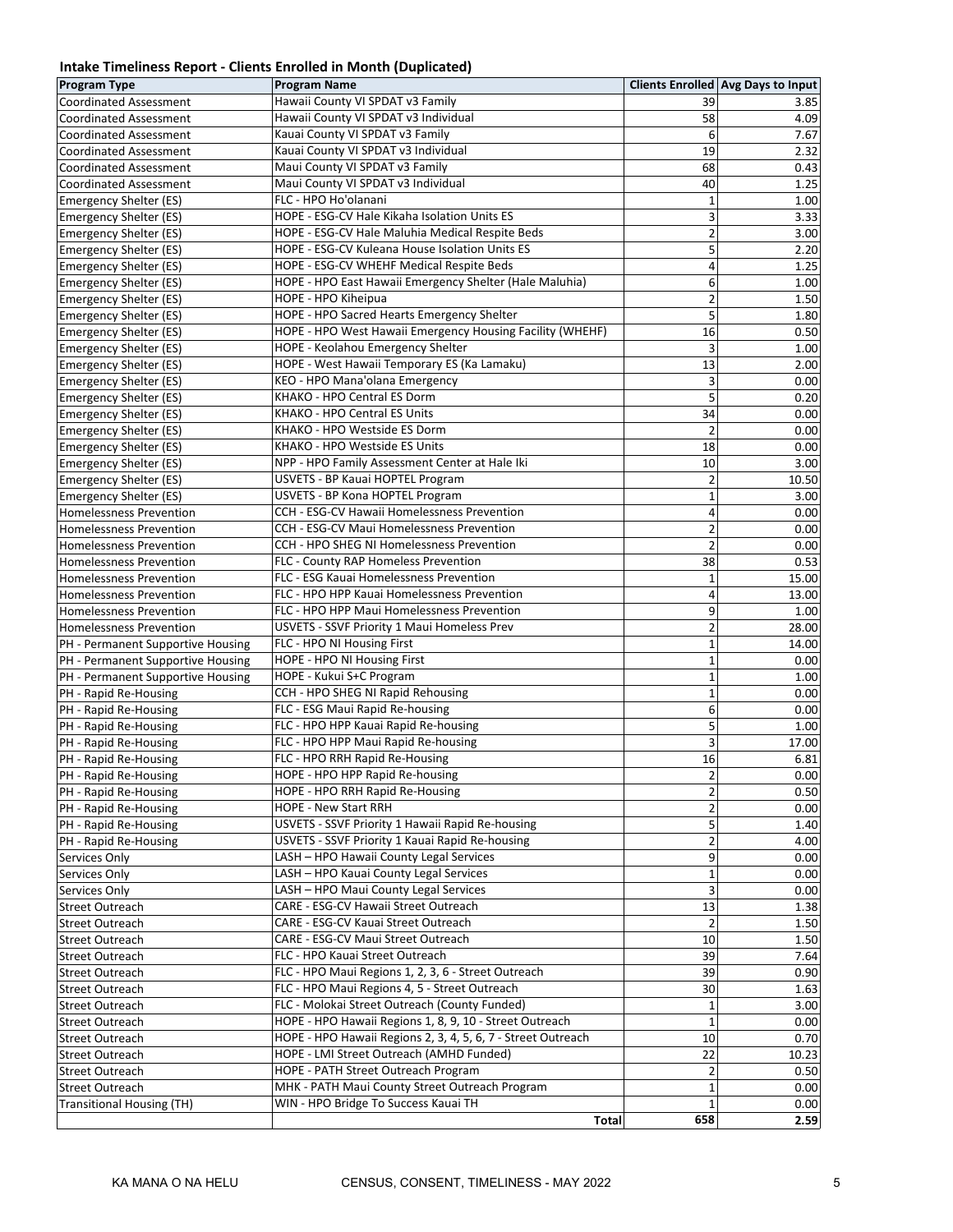#### **Intake Timeliness Report - Clients Enrolled in Month (Duplicated)**

| <b>Program Type</b>                                              | <b>Program Name</b>                                                               |                         | <b>Clients Enrolled Avg Days to Input</b> |
|------------------------------------------------------------------|-----------------------------------------------------------------------------------|-------------------------|-------------------------------------------|
| <b>Coordinated Assessment</b>                                    | Hawaii County VI SPDAT v3 Family                                                  | 39                      | 3.85                                      |
| <b>Coordinated Assessment</b>                                    | Hawaii County VI SPDAT v3 Individual                                              | 58                      | 4.09                                      |
| <b>Coordinated Assessment</b>                                    | Kauai County VI SPDAT v3 Family                                                   | 6                       | 7.67                                      |
| <b>Coordinated Assessment</b>                                    | Kauai County VI SPDAT v3 Individual                                               | 19                      | 2.32                                      |
| <b>Coordinated Assessment</b>                                    | Maui County VI SPDAT v3 Family                                                    | 68                      | 0.43                                      |
| <b>Coordinated Assessment</b>                                    | Maui County VI SPDAT v3 Individual                                                | 40                      | 1.25                                      |
| Emergency Shelter (ES)                                           | FLC - HPO Ho'olanani                                                              | $\mathbf{1}$            | 1.00                                      |
| Emergency Shelter (ES)                                           | HOPE - ESG-CV Hale Kikaha Isolation Units ES                                      | 3                       | 3.33                                      |
| <b>Emergency Shelter (ES)</b>                                    | HOPE - ESG-CV Hale Maluhia Medical Respite Beds                                   | $\overline{\mathbf{c}}$ | 3.00                                      |
| Emergency Shelter (ES)                                           | HOPE - ESG-CV Kuleana House Isolation Units ES                                    | 5                       | 2.20                                      |
| <b>Emergency Shelter (ES)</b>                                    | HOPE - ESG-CV WHEHF Medical Respite Beds                                          | 4                       | 1.25                                      |
| Emergency Shelter (ES)                                           | HOPE - HPO East Hawaii Emergency Shelter (Hale Maluhia)                           | 6                       | 1.00                                      |
| Emergency Shelter (ES)                                           | HOPE - HPO Kiheipua                                                               | 2                       | 1.50                                      |
| Emergency Shelter (ES)                                           | HOPE - HPO Sacred Hearts Emergency Shelter                                        | 5                       | 1.80                                      |
| Emergency Shelter (ES)                                           | HOPE - HPO West Hawaii Emergency Housing Facility (WHEHF)                         | 16                      | 0.50                                      |
| Emergency Shelter (ES)                                           | HOPE - Keolahou Emergency Shelter                                                 | 3                       | 1.00                                      |
| Emergency Shelter (ES)                                           | HOPE - West Hawaii Temporary ES (Ka Lamaku)                                       | 13                      | 2.00                                      |
| Emergency Shelter (ES)                                           | KEO - HPO Mana'olana Emergency                                                    | 3                       | 0.00                                      |
| Emergency Shelter (ES)                                           | KHAKO - HPO Central ES Dorm                                                       | 5                       | 0.20                                      |
| Emergency Shelter (ES)                                           | KHAKO - HPO Central ES Units                                                      | 34                      | 0.00                                      |
| <b>Emergency Shelter (ES)</b>                                    | KHAKO - HPO Westside ES Dorm                                                      | $\overline{2}$          | 0.00                                      |
| Emergency Shelter (ES)                                           | KHAKO - HPO Westside ES Units                                                     | 18                      | 0.00                                      |
| Emergency Shelter (ES)                                           | NPP - HPO Family Assessment Center at Hale Iki                                    | 10                      | 3.00                                      |
| <b>Emergency Shelter (ES)</b>                                    | USVETS - BP Kauai HOPTEL Program                                                  | $\overline{\mathbf{c}}$ | 10.50                                     |
| Emergency Shelter (ES)                                           | USVETS - BP Kona HOPTEL Program                                                   | $\mathbf{1}$            | 3.00                                      |
| <b>Homelessness Prevention</b>                                   | CCH - ESG-CV Hawaii Homelessness Prevention                                       | $\overline{\mathbf{4}}$ | 0.00                                      |
| <b>Homelessness Prevention</b>                                   | CCH - ESG-CV Maui Homelessness Prevention                                         | $\overline{2}$          | 0.00                                      |
| <b>Homelessness Prevention</b>                                   | CCH - HPO SHEG NI Homelessness Prevention<br>FLC - County RAP Homeless Prevention | $\overline{2}$<br>38    | 0.00                                      |
| <b>Homelessness Prevention</b><br><b>Homelessness Prevention</b> | FLC - ESG Kauai Homelessness Prevention                                           | $\mathbf 1$             | 0.53<br>15.00                             |
| <b>Homelessness Prevention</b>                                   | FLC - HPO HPP Kauai Homelessness Prevention                                       | $\overline{4}$          | 13.00                                     |
| <b>Homelessness Prevention</b>                                   | FLC - HPO HPP Maui Homelessness Prevention                                        | 9                       | 1.00                                      |
| <b>Homelessness Prevention</b>                                   | USVETS - SSVF Priority 1 Maui Homeless Prev                                       | $\overline{\mathbf{c}}$ | 28.00                                     |
| PH - Permanent Supportive Housing                                | FLC - HPO NI Housing First                                                        | $\mathbf{1}$            | 14.00                                     |
| PH - Permanent Supportive Housing                                | HOPE - HPO NI Housing First                                                       | $\overline{1}$          | 0.00                                      |
| PH - Permanent Supportive Housing                                | HOPE - Kukui S+C Program                                                          | $\mathbf 1$             | 1.00                                      |
| PH - Rapid Re-Housing                                            | CCH - HPO SHEG NI Rapid Rehousing                                                 | $\mathbf 1$             | 0.00                                      |
| PH - Rapid Re-Housing                                            | FLC - ESG Maui Rapid Re-housing                                                   | 6                       | 0.00                                      |
| PH - Rapid Re-Housing                                            | FLC - HPO HPP Kauai Rapid Re-housing                                              | 5                       | 1.00                                      |
| PH - Rapid Re-Housing                                            | FLC - HPO HPP Maui Rapid Re-housing                                               | 3                       | 17.00                                     |
| PH - Rapid Re-Housing                                            | FLC - HPO RRH Rapid Re-Housing                                                    | 16                      | 6.81                                      |
| PH - Rapid Re-Housing                                            | HOPE - HPO HPP Rapid Re-housing                                                   | 2                       | 0.00                                      |
| PH - Rapid Re-Housing                                            | HOPE - HPO RRH Rapid Re-Housing                                                   | $\overline{c}$          | 0.50                                      |
| PH - Rapid Re-Housing                                            | <b>HOPE - New Start RRH</b>                                                       | $\overline{\mathbf{c}}$ | 0.00                                      |
| PH - Rapid Re-Housing                                            | USVETS - SSVF Priority 1 Hawaii Rapid Re-housing                                  | 5                       | 1.40                                      |
| PH - Rapid Re-Housing                                            | USVETS - SSVF Priority 1 Kauai Rapid Re-housing                                   | 2                       | 4.00                                      |
| Services Only                                                    | LASH - HPO Hawaii County Legal Services                                           | 9                       | 0.00                                      |
| Services Only                                                    | LASH - HPO Kauai County Legal Services                                            | $\mathbf{1}$            | 0.00                                      |
| Services Only                                                    | LASH - HPO Maui County Legal Services                                             | 3                       | 0.00                                      |
| <b>Street Outreach</b>                                           | CARE - ESG-CV Hawaii Street Outreach                                              | 13                      | 1.38                                      |
| <b>Street Outreach</b>                                           | CARE - ESG-CV Kauai Street Outreach                                               | $\overline{2}$          | 1.50                                      |
| <b>Street Outreach</b>                                           | CARE - ESG-CV Maui Street Outreach                                                | 10                      | 1.50                                      |
| <b>Street Outreach</b>                                           | FLC - HPO Kauai Street Outreach                                                   | 39                      | 7.64                                      |
| <b>Street Outreach</b>                                           | FLC - HPO Maui Regions 1, 2, 3, 6 - Street Outreach                               | 39                      | 0.90                                      |
| <b>Street Outreach</b>                                           | FLC - HPO Maui Regions 4, 5 - Street Outreach                                     | 30                      | 1.63                                      |
| <b>Street Outreach</b>                                           | FLC - Molokai Street Outreach (County Funded)                                     | 1                       | 3.00                                      |
| <b>Street Outreach</b>                                           | HOPE - HPO Hawaii Regions 1, 8, 9, 10 - Street Outreach                           | $\mathbf{1}$            | 0.00                                      |
| <b>Street Outreach</b>                                           | HOPE - HPO Hawaii Regions 2, 3, 4, 5, 6, 7 - Street Outreach                      | 10                      | 0.70                                      |
| <b>Street Outreach</b>                                           | HOPE - LMI Street Outreach (AMHD Funded)                                          | 22                      | 10.23                                     |
| <b>Street Outreach</b>                                           | HOPE - PATH Street Outreach Program                                               | 2                       | 0.50                                      |
| <b>Street Outreach</b>                                           | MHK - PATH Maui County Street Outreach Program                                    | 1                       | 0.00                                      |
| <b>Transitional Housing (TH)</b>                                 | WIN - HPO Bridge To Success Kauai TH                                              | 1                       | 0.00                                      |
|                                                                  | Total                                                                             | 658                     | 2.59                                      |